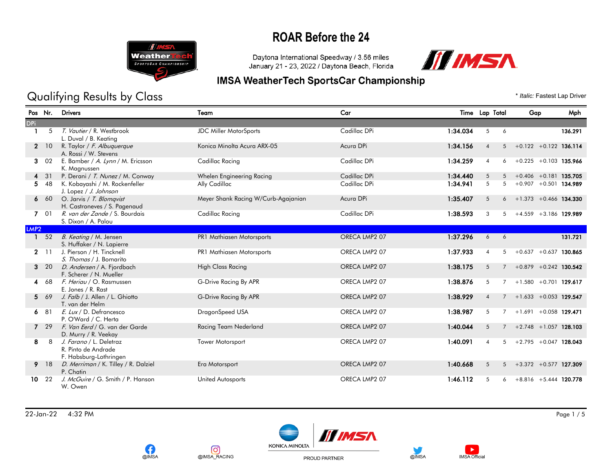

#### Daytona International Speedway / 3.56 miles January 21 - 23, 2022 / Daytona Beach, Florida



#### **IMSA WeatherTech SportsCar Championship**

Qualifying Results by Class  $\bullet$  *Italic: Fastest Lap Driver* 

#### Pos Nr. Drivers Team Car Time Lap Total Gap Mph DPi 1 5 T. Vautier / R. Westbrook JDC Miller MotorSports Cadillac DPi 1:34.034 5 6 136.291 L. Duval / B. Keating 2 10 R. Taylor / F. Albuquerque Konica Minolta Acura ARX-05 Acura DPi 1:34.156 4 5 +0.122 +0.122 136.114 A. Rossi / W. Stevens 3 02 E. Bamber / A. Lynn / M. Ericsson Cadillac Racing Cadillac DPi Cadillac DPi 1:34.259 4 6 +0.225 +0.103 135.966 K. Magnussen 4 31 P. Derani / T. Nunez / M. Conway Whelen Engineering Racing Cadillac DPi 1:34.440 5 5 +0.406 +0.181 135.705 5 48 K. Kobayashi / M. Rockenfeller Ally Cadillac Cadillac DPi 1:34.941 5 +0.907 +0.501 134.989 J. Lopez / J. Johnson 6 60 O. Jarvis / T. Blomqvist Meyer Shank Racing W/Curb-Agajanian Acura DPi 1:35.407 5 6 +1.373 +0.466 134.330 H. Castroneves / S. Pagenaud 7 01 R. van der Zande / S. Bourdais Cadillac Racing Cadillac Racing Cadillac DPi 1:38.593 3 5 +4.559 +3.186 129.989 S. Dixon / A. Palou LMP2 1 52 B. Keating / M. Jensen 2011 PR1 Mathiasen Motorsports CRECA LMP2 07 1:37.296 6 6 131.721 S. Huffaker / N. Lapierre 2 11 J. Pierson / H. Tincknell PR1 Mathiasen Motorsports ORECA LMP2 07 1:37.933 4 5 +0.637 +0.637 130.865 S. Thomas / J. Bomarito 3 20 *D. Andersen* / A. Fjordbach High Class Racing Class Racing ORECA LMP2 07 1:38.175 5 7 +0.879 +0.242 130.542 F. Scherer / N. Mueller 4 68 F. Heriau / O. Rasmussen **G-Drive Racing By APR CRECA LMP2 07** 1:38.876 5 7 +1.580 +0.701 129.617 E. Jones / R. Rast 5 69 J. Falb / J. Allen / L. Ghiotto C-Drive Racing By APR ORECA LMP2 07 1:38.929 4 7 +1.633 +0.053 129.547 T. van der Helm 6 81 *E. Lux* / D. Defrancesco **DragonSpeed USA DragonSpeed USA** ORECA LMP2 07 1:38.987 5 7 +1.691 +0.058 129.471 P. O'Ward / C. Herta 7 29 F. Van Eerd / G. van der Garde Racing Team Nederland CRECA LMP2 07 1:40.044 5 7 +2.748 +1.057 128.103 D. Murry / R. Veekay 8 8 J. Farano / L. Deletraz Tower Motorsport Tower Motorsport CRECA LMP2 07 1:40.091 4 5 +2.795 +0.047 128.043 R. Pinto de Andrade F. Habsburg-Lothringen 9 18 *D. Merriman* / K. Tilley / R. Dalziel Era Motorsport Era Motorsport ORECA LMP2 07 1:40.668 5 5 +3.372 +0.577 127.309 P. Chatin 10 22 J. McGuire / G. Smith / P. Hanson United Autosports Christian Core CA LMP2 07 1:46.112 5 6 +8.816 +5.444 120.778 W. Owen

22-Jan-22 4:32 PM Page 1 / 5







PROUD PARTNER



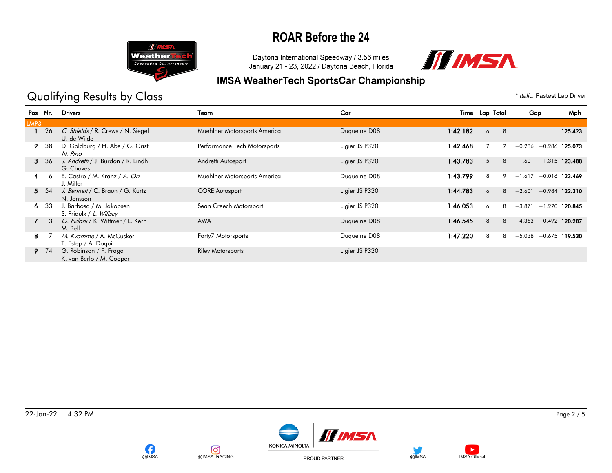

Daytona International Speedway / 3.56 miles January 21 - 23, 2022 / Daytona Beach, Florida



## **IMSA WeatherTech SportsCar Championship**

Qualifying Results by Class  $\bullet$  *Italic: Fastest Lap Driver* 

|              | Pos Nr. | <b>Drivers</b>                                      | Team                         | Car            |          | Time Lap Total | Mph<br>Gap                   |
|--------------|---------|-----------------------------------------------------|------------------------------|----------------|----------|----------------|------------------------------|
| LMP3         |         |                                                     |                              |                |          |                |                              |
|              | 26      | C. Shields / R. Crews / N. Siegel<br>U. de Wilde    | Muehlner Motorsports America | Duqueine D08   | 1:42.182 | 8<br>6         | 125.423                      |
| $\mathbf{2}$ | -38     | D. Goldburg / H. Abe / G. Grist<br>N. Pino          | Performance Tech Motorsports | Ligier JS P320 | 1:42.468 |                | $+0.286$<br>$+0.286$ 125.073 |
| 3            | -36     | J. Andretti / J. Burdon / R. Lindh<br>G. Chaves     | Andretti Autosport           | Ligier JS P320 | 1:43.783 | 5<br>8         | $+1.601 + 1.315$ 123.488     |
| 4            | 6       | E. Castro / M. Kranz / A. Ori<br>J. Miller          | Muehlner Motorsports America | Duqueine D08   | 1:43.799 | 8<br>9         | $+1.617$<br>$+0.016$ 123.469 |
|              | 5 54    | J. Bennett / C. Braun / G. Kurtz<br>N. Jonsson      | <b>CORE Autosport</b>        | Ligier JS P320 | 1:44.783 | 8<br>6         | $+2.601 + 0.984$ 122.310     |
| 6.           | -33     | J. Barbosa / M. Jakobsen<br>S. Priaulx / L. Willsey | Sean Creech Motorsport       | Ligier JS P320 | 1:46.053 | 8<br>6         | $+3.871$<br>$+1.270$ 120.845 |
|              | 7 13    | O. Fidani / K. Wittmer / L. Kern<br>M. Bell         | <b>AWA</b>                   | Duqueine D08   | 1:46.545 | 8<br>8         | $+4.363 +0.492$ 120.287      |
| 8.           |         | M. Kvamme / A. McCusker<br>T. Estep / A. Doquin     | Forty7 Motorsports           | Duqueine D08   | 1:47.220 | 8<br>8         | $+5.038$<br>$+0.675$ 119.530 |
| 9.           | 74      | G. Robinson / F. Fraga<br>K. van Berlo / M. Cooper  | <b>Riley Motorsports</b>     | Ligier JS P320 |          |                |                              |







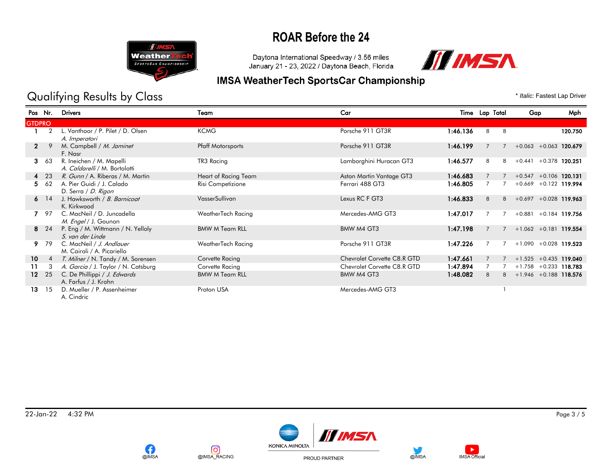

Daytona International Speedway / 3.56 miles January 21 - 23, 2022 / Daytona Beach, Florida



## **IMSA WeatherTech SportsCar Championship**

## Qualifying Results by Class  $\bullet$  *Italic: Fastest Lap Driver*

| Pos Nr.         |                | <b>Drivers</b>                                            | Team                     | Car                         |          | Time Lap Total |   | Gap                          | Mph     |
|-----------------|----------------|-----------------------------------------------------------|--------------------------|-----------------------------|----------|----------------|---|------------------------------|---------|
| <b>GTDPRO</b>   |                |                                                           |                          |                             |          |                |   |                              |         |
|                 |                | L. Vanthoor / P. Pilet / D. Olsen<br>A. Imperatori        | <b>KCMG</b>              | Porsche 911 GT3R            | 1:46.136 | 8              | 8 |                              | 120.750 |
| $\mathbf{2}$    |                | M. Campbell / M. Jaminet<br>F. Nasr                       | <b>Pfaff Motorsports</b> | Porsche 911 GT3R            | 1:46.199 | $\overline{7}$ |   | $+0.063 + 0.063$ 120.679     |         |
| 3               | 63             | R. Ineichen / M. Mapelli<br>A. Caldarelli / M. Bortolotti | TR3 Racing               | Lamborghini Huracan GT3     | 1:46.577 | 8              | 8 | $+0.441 + 0.378$ 120.251     |         |
|                 | 4 23           | R. Gunn / A. Riberas / M. Martin                          | Heart of Racing Team     | Aston Martin Vantage GT3    | 1:46.683 |                |   | $+0.547 + 0.106$ 120.131     |         |
| 5.              | 62             | A. Pier Guidi / J. Calado<br>D. Serra / D. Rigon          | Risi Competizione        | Ferrari 488 GT3             | 1:46.805 |                |   | $+0.669 + 0.122$ 119.994     |         |
|                 | $6 \t14$       | J. Hawksworth / B. Barnicoat<br>K. Kirkwood               | VasserSullivan           | Lexus RC F GT3              | 1:46.833 | 8              | 8 | $+0.697 + 0.028$ 119.963     |         |
|                 | - 97           | C. MacNeil / D. Juncadella<br>M. Engel / J. Gounon        | WeatherTech Racing       | Mercedes-AMG GT3            | 1:47.017 |                |   | $+0.881$<br>$+0.184$ 119.756 |         |
|                 | 8 24           | P. Eng / M. Wittmann / N. Yelloly<br>S. van der Linde     | <b>BMW M Team RLL</b>    | BMW M4 GT3                  | 1:47.198 |                |   | $+1.062 +0.181$ 119.554      |         |
|                 | 9 79           | C. MacNeil / J. Andlauer<br>M. Cairoli / A. Picariello    | WeatherTech Racing       | Porsche 911 GT3R            | 1:47.226 |                |   | $+1.090 + 0.028$ 119.523     |         |
| 10              | $\overline{4}$ | T. Milner / N. Tandy / M. Sorensen                        | Corvette Racing          | Chevrolet Corvette C8.R GTD | 1:47.661 |                |   | $+1.525 + 0.435$ 119.040     |         |
| 11              | 3              | A. Garcia / J. Taylor / N. Catsburg                       | Corvette Racing          | Chevrolet Corvette C8.R GTD | 1:47.894 |                |   | $+1.758 + 0.233$ 118.783     |         |
| 12 <sup>°</sup> | 25             | C. De Phillippi / J. Edwards<br>A. Farfus / J. Krohn      | <b>BMW M Team RLL</b>    | BMW M4 GT3                  | 1:48.082 | 8              |   | $+1.946 +0.188$ 118.576      |         |
| 13              | -15            | D. Mueller / P. Assenheimer<br>A. Cindric                 | Proton USA               | Mercedes-AMG GT3            |          |                |   |                              |         |

22-Jan-22 4:32 PM Page 3 / 5





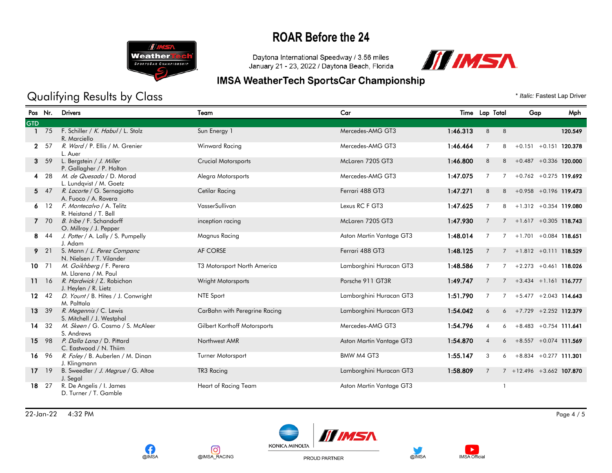

Daytona International Speedway / 3.56 miles January 21 - 23, 2022 / Daytona Beach, Florida



## **IMSA WeatherTech SportsCar Championship**

## Qualifying Results by Class  $\bullet$  *Italic: Fastest Lap Driver*

| Pos Nr.    |            | <b>Drivers</b>                                         | Team                          | Car                      |          | Time Lap Total           | Mph<br>Gap                                 |
|------------|------------|--------------------------------------------------------|-------------------------------|--------------------------|----------|--------------------------|--------------------------------------------|
| <b>GTD</b> |            |                                                        |                               |                          |          |                          |                                            |
|            | 75         | F. Schiller / K. Habul / L. Stolz<br>R. Marciello      | Sun Energy 1                  | Mercedes-AMG GT3         | 1:46.313 | 8<br>8                   | 120.549                                    |
|            | 2 57       | R. Ward / P. Ellis / M. Grenier<br>L. Auer             | Winward Racing                | Mercedes-AMG GT3         | 1:46.464 | $\overline{7}$           | $+0.151 + 0.151$ 120.378<br>8              |
|            | 3, 59      | L. Bergstein / J. Miller<br>P. Gallagher / P. Holton   | <b>Crucial Motorsports</b>    | McLaren 720S GT3         | 1:46.800 | 8                        | $+0.487 + 0.336$ 120.000<br>8              |
|            | 4 28       | M. de Quesada / D. Morad<br>L. Lundqvist / M. Goetz    | Alegra Motorsports            | Mercedes-AMG GT3         | 1:47.075 | $\overline{7}$           | $+0.762 + 0.275$ 119.692<br>$7^{\circ}$    |
|            | 547        | R. Lacorte / G. Sernagiotto<br>A. Fuoco / A. Rovera    | Cetilar Racing                | Ferrari 488 GT3          | 1:47.271 | 8                        | $+0.958 +0.196$ 119.473<br>8               |
|            | $6 \t12$   | F. Montecalvo / A. Telitz<br>R. Heistand / T. Bell     | VasserSullivan                | Lexus RC F GT3           | 1:47.625 | 7                        | $+1.312 + 0.354$ 119.080<br>8              |
|            | 7 70       | B. Iribe / F. Schandorff<br>O. Millroy / J. Pepper     | inception racing              | McLaren 720S GT3         | 1:47.930 | 7                        | $+1.617 + 0.305$ 118.743<br>$7^{\circ}$    |
|            | 8 44       | J. Potter / A. Lally / S. Pumpelly<br>J. Adam          | Magnus Racing                 | Aston Martin Vantage GT3 | 1:48.014 | $\overline{7}$           | $+1.701 + 0.084$ 118.651<br>$\overline{7}$ |
|            | $9'$ 21    | S. Mann / L. Perez Companc<br>N. Nielsen / T. Vilander | AF CORSE                      | Ferrari 488 GT3          | 1:48.125 | 7                        | $+1.812 +0.111$ 118.529                    |
| $10$ 71    |            | M. Goikhberg / F. Perera<br>M. Llarena / M. Paul       | T3 Motorsport North America   | Lamborghini Huracan GT3  | 1:48.586 | $\overline{7}$           | $+2.273 +0.461$ 118.026                    |
|            | 11 16      | R. Hardwick / Z. Robichon<br>J. Heylen / R. Lietz      | Wright Motorsports            | Porsche 911 GT3R         | 1:49.747 | 7                        | $7 + 3.434 + 1.161$ 116.777                |
|            | $12 \t 42$ | D. Yount / B. Hites / J. Conwright<br>M. Palttala      | NTE Sport                     | Lamborghini Huracan GT3  | 1:51.790 | $\overline{7}$           | $+5.477 + 2.043$ 114.643                   |
|            | 13 39      | R. Megennis / C. Lewis<br>S. Mitchell / J. Westphal    | CarBahn with Peregrine Racing | Lamborghini Huracan GT3  | 1:54.042 | 6                        | $6 + 7.729 + 2.252$ 112.379                |
|            | 14 32      | M. Skeen / G. Cosmo / S. McAleer<br>S. Andrews         | Gilbert Korthoff Motorsports  | Mercedes-AMG GT3         | 1:54.796 | $\overline{A}$           | $+8.483 + 0.754$ 111.641<br>6              |
|            | 15 98      | P. Dalla Lana / D. Pittard<br>C. Eastwood / N. Thiim   | Northwest AMR                 | Aston Martin Vantage GT3 | 1:54.870 | $\overline{4}$           | $+8.557 + 0.074$ 111.569<br>6              |
| 16 96      |            | R. Foley / B. Auberlen / M. Dinan<br>J. Klingmann      | Turner Motorsport             | BMW M4 GT3               | 1:55.147 | 3                        | $+8.834 +0.277$ 111.301<br>6               |
| $17 \t19$  |            | B. Sweedler / J. Megrue / G. Altoe<br>J. Segal         | TR3 Racing                    | Lamborghini Huracan GT3  | 1:58.809 | 7                        | $7 + 12.496 + 3.662$ 107.870               |
| 18 27      |            | R. De Angelis / I. James<br>D. Turner / T. Gamble      | Heart of Racing Team          | Aston Martin Vantage GT3 |          | $\overline{\phantom{a}}$ |                                            |

22-Jan-22 4:32 PM Page 4 / 5







PROUD PARTNER